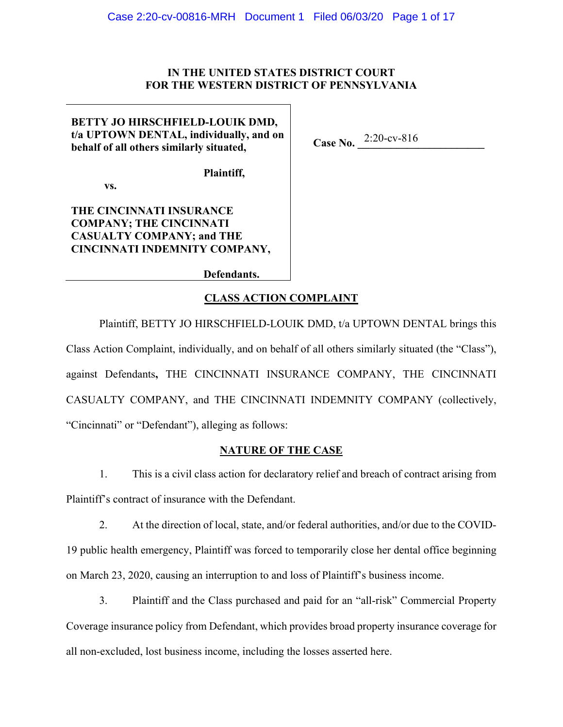## **IN THE UNITED STATES DISTRICT COURT FOR THE WESTERN DISTRICT OF PENNSYLVANIA**

**BETTY JO HIRSCHFIELD-LOUIK DMD, t/a UPTOWN DENTAL, individually, and on behalf of all others similarly situated,** 

**Case No.** 2:20-cv-816

**Plaintiff,** 

 **vs.** 

**THE CINCINNATI INSURANCE COMPANY; THE CINCINNATI CASUALTY COMPANY; and THE CINCINNATI INDEMNITY COMPANY,** 

**Defendants.**

## **CLASS ACTION COMPLAINT**

Plaintiff, BETTY JO HIRSCHFIELD-LOUIK DMD, t/a UPTOWN DENTAL brings this Class Action Complaint, individually, and on behalf of all others similarly situated (the "Class"), against Defendants**,** THE CINCINNATI INSURANCE COMPANY, THE CINCINNATI CASUALTY COMPANY, and THE CINCINNATI INDEMNITY COMPANY (collectively, "Cincinnati" or "Defendant"), alleging as follows:

## **NATURE OF THE CASE**

1. This is a civil class action for declaratory relief and breach of contract arising from Plaintiff's contract of insurance with the Defendant.

2. At the direction of local, state, and/or federal authorities, and/or due to the COVID-19 public health emergency, Plaintiff was forced to temporarily close her dental office beginning on March 23, 2020, causing an interruption to and loss of Plaintiff's business income.

3. Plaintiff and the Class purchased and paid for an "all-risk" Commercial Property Coverage insurance policy from Defendant, which provides broad property insurance coverage for all non-excluded, lost business income, including the losses asserted here.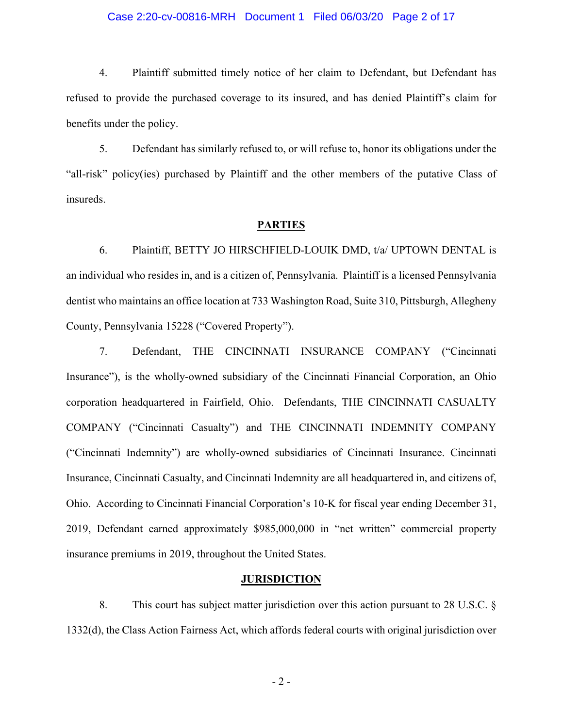#### Case 2:20-cv-00816-MRH Document 1 Filed 06/03/20 Page 2 of 17

4. Plaintiff submitted timely notice of her claim to Defendant, but Defendant has refused to provide the purchased coverage to its insured, and has denied Plaintiff's claim for benefits under the policy.

5. Defendant has similarly refused to, or will refuse to, honor its obligations under the "all-risk" policy(ies) purchased by Plaintiff and the other members of the putative Class of insureds.

#### **PARTIES**

6. Plaintiff, BETTY JO HIRSCHFIELD-LOUIK DMD, t/a/ UPTOWN DENTAL is an individual who resides in, and is a citizen of, Pennsylvania. Plaintiff is a licensed Pennsylvania dentist who maintains an office location at 733 Washington Road, Suite 310, Pittsburgh, Allegheny County, Pennsylvania 15228 ("Covered Property").

7. Defendant, THE CINCINNATI INSURANCE COMPANY ("Cincinnati Insurance"), is the wholly-owned subsidiary of the Cincinnati Financial Corporation, an Ohio corporation headquartered in Fairfield, Ohio. Defendants, THE CINCINNATI CASUALTY COMPANY ("Cincinnati Casualty") and THE CINCINNATI INDEMNITY COMPANY ("Cincinnati Indemnity") are wholly-owned subsidiaries of Cincinnati Insurance. Cincinnati Insurance, Cincinnati Casualty, and Cincinnati Indemnity are all headquartered in, and citizens of, Ohio. According to Cincinnati Financial Corporation's 10-K for fiscal year ending December 31, 2019, Defendant earned approximately \$985,000,000 in "net written" commercial property insurance premiums in 2019, throughout the United States.

#### **JURISDICTION**

8. This court has subject matter jurisdiction over this action pursuant to 28 U.S.C. § 1332(d), the Class Action Fairness Act, which affords federal courts with original jurisdiction over

- 2 -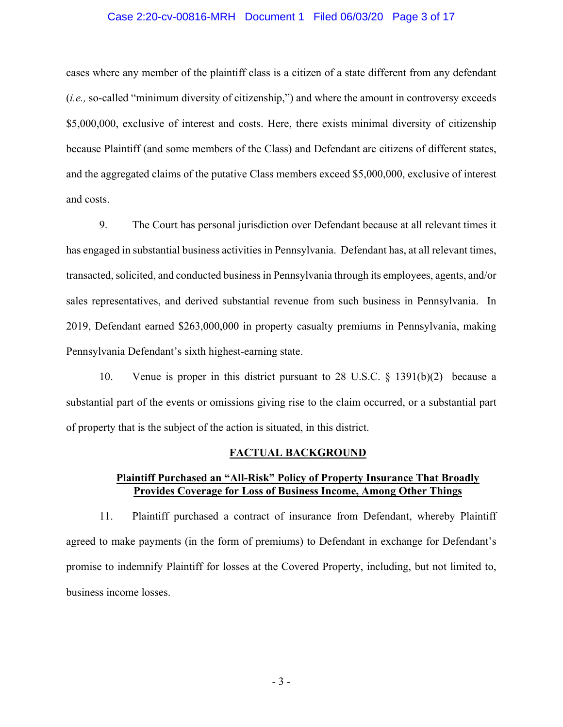#### Case 2:20-cv-00816-MRH Document 1 Filed 06/03/20 Page 3 of 17

cases where any member of the plaintiff class is a citizen of a state different from any defendant (*i.e.,* so-called "minimum diversity of citizenship,") and where the amount in controversy exceeds \$5,000,000, exclusive of interest and costs. Here, there exists minimal diversity of citizenship because Plaintiff (and some members of the Class) and Defendant are citizens of different states, and the aggregated claims of the putative Class members exceed \$5,000,000, exclusive of interest and costs.

9. The Court has personal jurisdiction over Defendant because at all relevant times it has engaged in substantial business activities in Pennsylvania. Defendant has, at all relevant times, transacted, solicited, and conducted business in Pennsylvania through its employees, agents, and/or sales representatives, and derived substantial revenue from such business in Pennsylvania. In 2019, Defendant earned \$263,000,000 in property casualty premiums in Pennsylvania, making Pennsylvania Defendant's sixth highest-earning state.

10. Venue is proper in this district pursuant to 28 U.S.C. § 1391(b)(2) because a substantial part of the events or omissions giving rise to the claim occurred, or a substantial part of property that is the subject of the action is situated, in this district.

#### **FACTUAL BACKGROUND**

## **Plaintiff Purchased an "All-Risk" Policy of Property Insurance That Broadly Provides Coverage for Loss of Business Income, Among Other Things**

11. Plaintiff purchased a contract of insurance from Defendant, whereby Plaintiff agreed to make payments (in the form of premiums) to Defendant in exchange for Defendant's promise to indemnify Plaintiff for losses at the Covered Property, including, but not limited to, business income losses.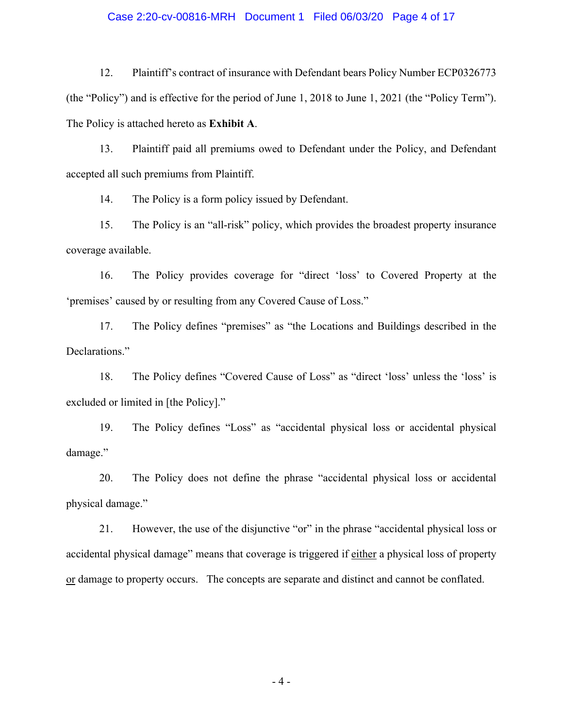#### Case 2:20-cv-00816-MRH Document 1 Filed 06/03/20 Page 4 of 17

12. Plaintiff's contract of insurance with Defendant bears Policy Number ECP0326773 (the "Policy") and is effective for the period of June 1, 2018 to June 1, 2021 (the "Policy Term"). The Policy is attached hereto as **Exhibit A**.

13. Plaintiff paid all premiums owed to Defendant under the Policy, and Defendant accepted all such premiums from Plaintiff.

14. The Policy is a form policy issued by Defendant.

15. The Policy is an "all-risk" policy, which provides the broadest property insurance coverage available.

16. The Policy provides coverage for "direct 'loss' to Covered Property at the 'premises' caused by or resulting from any Covered Cause of Loss."

17. The Policy defines "premises" as "the Locations and Buildings described in the Declarations."

18. The Policy defines "Covered Cause of Loss" as "direct 'loss' unless the 'loss' is excluded or limited in [the Policy]."

19. The Policy defines "Loss" as "accidental physical loss or accidental physical damage."

20. The Policy does not define the phrase "accidental physical loss or accidental physical damage."

21. However, the use of the disjunctive "or" in the phrase "accidental physical loss or accidental physical damage" means that coverage is triggered if either a physical loss of property or damage to property occurs. The concepts are separate and distinct and cannot be conflated.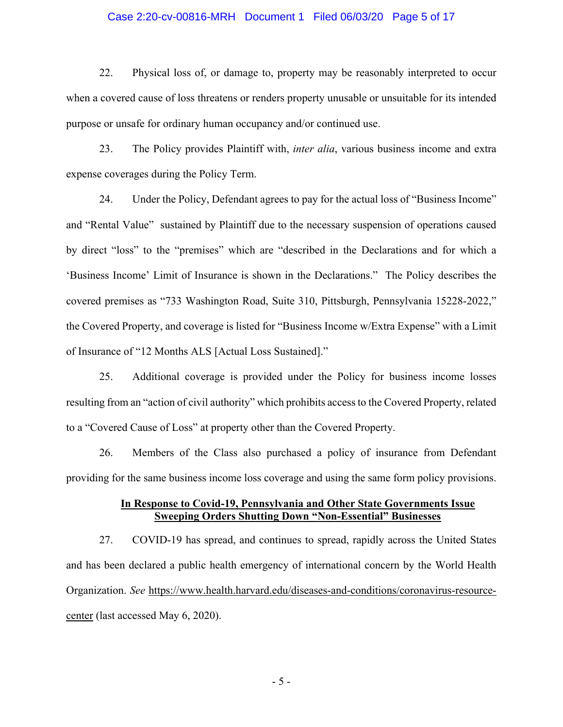#### Case 2:20-cv-00816-MRH Document 1 Filed 06/03/20 Page 5 of 17

22. Physical loss of, or damage to, property may be reasonably interpreted to occur when a covered cause of loss threatens or renders property unusable or unsuitable for its intended purpose or unsafe for ordinary human occupancy and/or continued use.

23. The Policy provides Plaintiff with, *inter alia*, various business income and extra expense coverages during the Policy Term.

24. Under the Policy, Defendant agrees to pay for the actual loss of "Business Income" and "Rental Value" sustained by Plaintiff due to the necessary suspension of operations caused by direct "loss" to the "premises" which are "described in the Declarations and for which a 'Business Income' Limit of Insurance is shown in the Declarations." The Policy describes the covered premises as "733 Washington Road, Suite 310, Pittsburgh, Pennsylvania 15228-2022," the Covered Property, and coverage is listed for "Business Income w/Extra Expense" with a Limit of Insurance of "12 Months ALS [Actual Loss Sustained]."

25. Additional coverage is provided under the Policy for business income losses resulting from an "action of civil authority" which prohibits access to the Covered Property, related to a "Covered Cause of Loss" at property other than the Covered Property.

26. Members of the Class also purchased a policy of insurance from Defendant providing for the same business income loss coverage and using the same form policy provisions.

## **In Response to Covid-19, Pennsylvania and Other State Governments Issue Sweeping Orders Shutting Down "Non-Essential" Businesses**

27. COVID-19 has spread, and continues to spread, rapidly across the United States and has been declared a public health emergency of international concern by the World Health Organization. *See* https://www.health.harvard.edu/diseases-and-conditions/coronavirus-resourcecenter (last accessed May 6, 2020).

- 5 -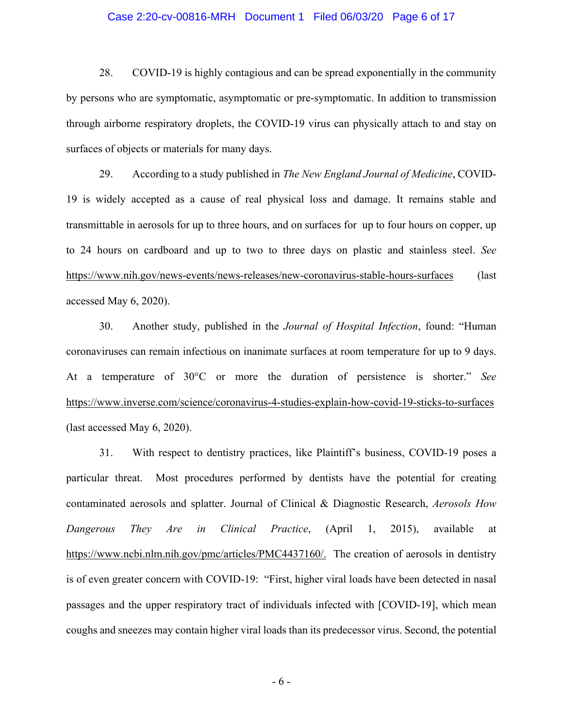#### Case 2:20-cv-00816-MRH Document 1 Filed 06/03/20 Page 6 of 17

28. COVID-19 is highly contagious and can be spread exponentially in the community by persons who are symptomatic, asymptomatic or pre-symptomatic. In addition to transmission through airborne respiratory droplets, the COVID-19 virus can physically attach to and stay on surfaces of objects or materials for many days.

29. According to a study published in *The New England Journal of Medicine*, COVID-19 is widely accepted as a cause of real physical loss and damage. It remains stable and transmittable in aerosols for up to three hours, and on surfaces for up to four hours on copper, up to 24 hours on cardboard and up to two to three days on plastic and stainless steel. *See*  https://www.nih.gov/news-events/news-releases/new-coronavirus-stable-hours-surfaces (last accessed May 6, 2020).

30. Another study, published in the *Journal of Hospital Infection*, found: "Human coronaviruses can remain infectious on inanimate surfaces at room temperature for up to 9 days. At a temperature of 30°C or more the duration of persistence is shorter." *See*  https://www.inverse.com/science/coronavirus-4-studies-explain-how-covid-19-sticks-to-surfaces (last accessed May 6, 2020).

31. With respect to dentistry practices, like Plaintiff's business, COVID-19 poses a particular threat. Most procedures performed by dentists have the potential for creating contaminated aerosols and splatter. Journal of Clinical & Diagnostic Research, *Aerosols How Dangerous They Are in Clinical Practice*, (April 1, 2015), available at https://www.ncbi.nlm.nih.gov/pmc/articles/PMC4437160/. The creation of aerosols in dentistry is of even greater concern with COVID-19: "First, higher viral loads have been detected in nasal passages and the upper respiratory tract of individuals infected with [COVID-19], which mean coughs and sneezes may contain higher viral loads than its predecessor virus. Second, the potential

- 6 -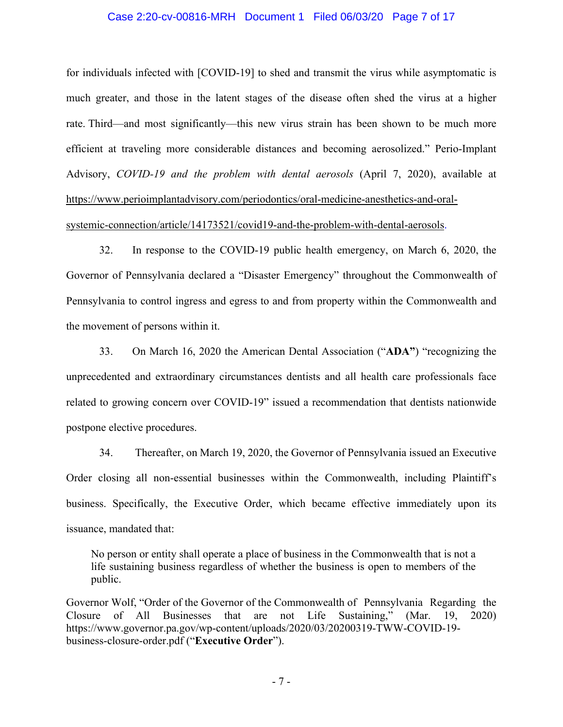#### Case 2:20-cv-00816-MRH Document 1 Filed 06/03/20 Page 7 of 17

for individuals infected with [COVID-19] to shed and transmit the virus while asymptomatic is much greater, and those in the latent stages of the disease often shed the virus at a higher rate. Third—and most significantly—this new virus strain has been shown to be much more efficient at traveling more considerable distances and becoming aerosolized." Perio-Implant Advisory, *COVID-19 and the problem with dental aerosols* (April 7, 2020), available at https://www.perioimplantadvisory.com/periodontics/oral-medicine-anesthetics-and-oralsystemic-connection/article/14173521/covid19-and-the-problem-with-dental-aerosols.

32. In response to the COVID-19 public health emergency, on March 6, 2020, the Governor of Pennsylvania declared a "Disaster Emergency" throughout the Commonwealth of Pennsylvania to control ingress and egress to and from property within the Commonwealth and the movement of persons within it.

33. On March 16, 2020 the American Dental Association ("**ADA"**) "recognizing the unprecedented and extraordinary circumstances dentists and all health care professionals face related to growing concern over COVID-19" issued a recommendation that dentists nationwide postpone elective procedures.

34. Thereafter, on March 19, 2020, the Governor of Pennsylvania issued an Executive Order closing all non-essential businesses within the Commonwealth, including Plaintiff's business. Specifically, the Executive Order, which became effective immediately upon its issuance, mandated that:

No person or entity shall operate a place of business in the Commonwealth that is not a life sustaining business regardless of whether the business is open to members of the public.

Governor Wolf, "Order of the Governor of the Commonwealth of Pennsylvania Regarding the Closure of All Businesses that are not Life Sustaining," (Mar. 19, 2020) https://www.governor.pa.gov/wp-content/uploads/2020/03/20200319-TWW-COVID-19 business-closure-order.pdf ("**Executive Order**").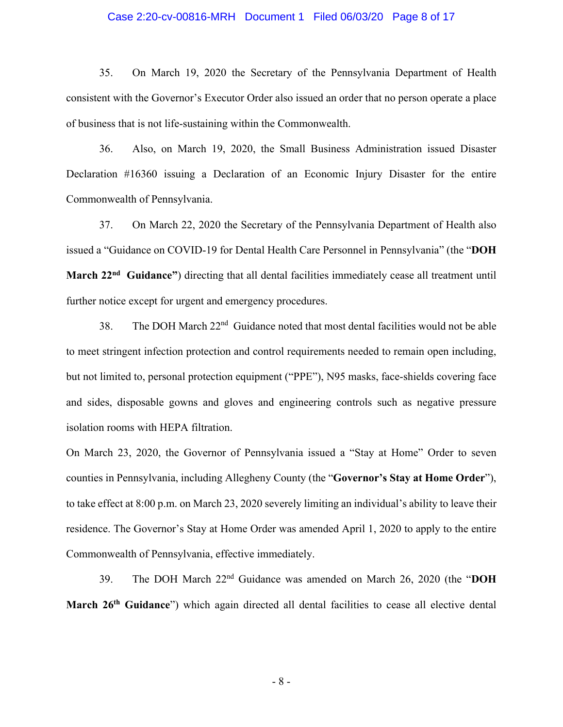#### Case 2:20-cv-00816-MRH Document 1 Filed 06/03/20 Page 8 of 17

35. On March 19, 2020 the Secretary of the Pennsylvania Department of Health consistent with the Governor's Executor Order also issued an order that no person operate a place of business that is not life-sustaining within the Commonwealth.

36. Also, on March 19, 2020, the Small Business Administration issued Disaster Declaration #16360 issuing a Declaration of an Economic Injury Disaster for the entire Commonwealth of Pennsylvania.

37. On March 22, 2020 the Secretary of the Pennsylvania Department of Health also issued a "Guidance on COVID-19 for Dental Health Care Personnel in Pennsylvania" (the "**DOH March 22nd Guidance"**) directing that all dental facilities immediately cease all treatment until further notice except for urgent and emergency procedures.

38. The DOH March  $22<sup>nd</sup>$  Guidance noted that most dental facilities would not be able to meet stringent infection protection and control requirements needed to remain open including, but not limited to, personal protection equipment ("PPE"), N95 masks, face-shields covering face and sides, disposable gowns and gloves and engineering controls such as negative pressure isolation rooms with HEPA filtration.

On March 23, 2020, the Governor of Pennsylvania issued a "Stay at Home" Order to seven counties in Pennsylvania, including Allegheny County (the "**Governor's Stay at Home Order**"), to take effect at 8:00 p.m. on March 23, 2020 severely limiting an individual's ability to leave their residence. The Governor's Stay at Home Order was amended April 1, 2020 to apply to the entire Commonwealth of Pennsylvania, effective immediately.

39. The DOH March 22nd Guidance was amended on March 26, 2020 (the "**DOH**  March 26<sup>th</sup> Guidance") which again directed all dental facilities to cease all elective dental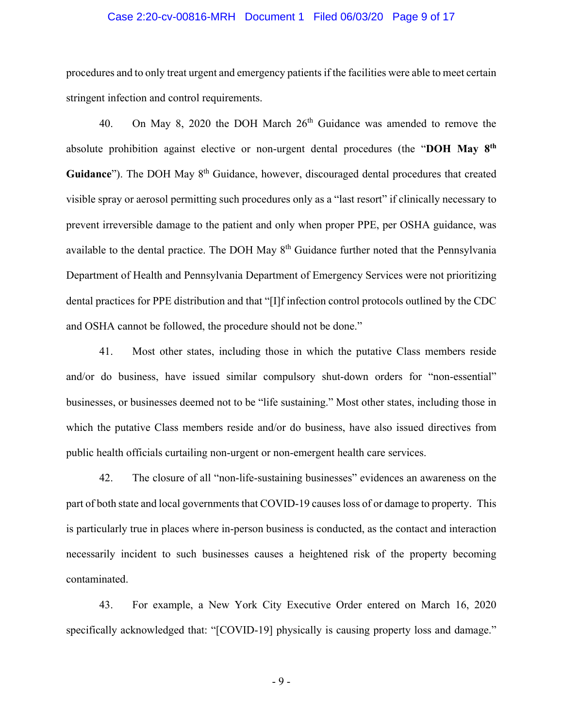#### Case 2:20-cv-00816-MRH Document 1 Filed 06/03/20 Page 9 of 17

procedures and to only treat urgent and emergency patients if the facilities were able to meet certain stringent infection and control requirements.

40. On May 8, 2020 the DOH March  $26<sup>th</sup>$  Guidance was amended to remove the absolute prohibition against elective or non-urgent dental procedures (the "**DOH May 8th** Guidance"). The DOH May 8<sup>th</sup> Guidance, however, discouraged dental procedures that created visible spray or aerosol permitting such procedures only as a "last resort" if clinically necessary to prevent irreversible damage to the patient and only when proper PPE, per OSHA guidance, was available to the dental practice. The DOH May 8<sup>th</sup> Guidance further noted that the Pennsylvania Department of Health and Pennsylvania Department of Emergency Services were not prioritizing dental practices for PPE distribution and that "[I]f infection control protocols outlined by the CDC and OSHA cannot be followed, the procedure should not be done."

41. Most other states, including those in which the putative Class members reside and/or do business, have issued similar compulsory shut-down orders for "non-essential" businesses, or businesses deemed not to be "life sustaining." Most other states, including those in which the putative Class members reside and/or do business, have also issued directives from public health officials curtailing non-urgent or non-emergent health care services.

42. The closure of all "non-life-sustaining businesses" evidences an awareness on the part of both state and local governments that COVID-19 causes loss of or damage to property. This is particularly true in places where in-person business is conducted, as the contact and interaction necessarily incident to such businesses causes a heightened risk of the property becoming contaminated.

43. For example, a New York City Executive Order entered on March 16, 2020 specifically acknowledged that: "[COVID-19] physically is causing property loss and damage."

- 9 -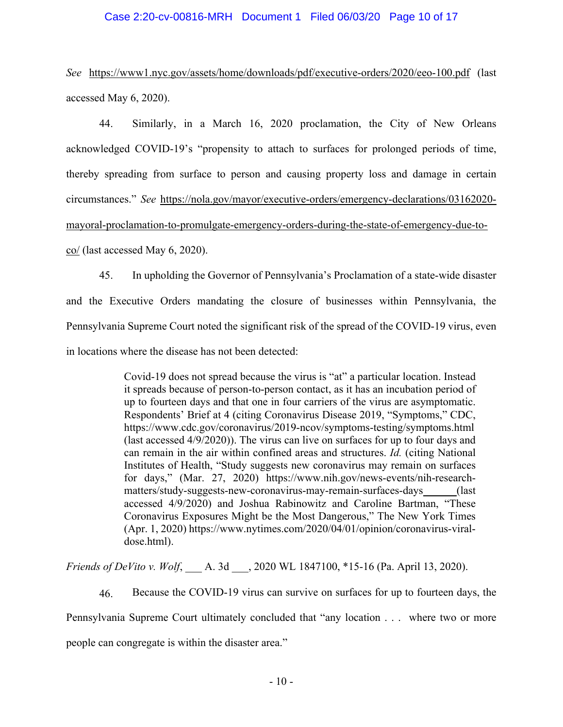## Case 2:20-cv-00816-MRH Document 1 Filed 06/03/20 Page 10 of 17

*See* https://www1.nyc.gov/assets/home/downloads/pdf/executive-orders/2020/eeo-100.pdf (last accessed May 6, 2020).

44. Similarly, in a March 16, 2020 proclamation, the City of New Orleans acknowledged COVID-19's "propensity to attach to surfaces for prolonged periods of time, thereby spreading from surface to person and causing property loss and damage in certain circumstances." *See* https://nola.gov/mayor/executive-orders/emergency-declarations/03162020 mayoral-proclamation-to-promulgate-emergency-orders-during-the-state-of-emergency-due-toco/ (last accessed May 6, 2020).

45. In upholding the Governor of Pennsylvania's Proclamation of a state-wide disaster and the Executive Orders mandating the closure of businesses within Pennsylvania, the Pennsylvania Supreme Court noted the significant risk of the spread of the COVID-19 virus, even in locations where the disease has not been detected:

> Covid-19 does not spread because the virus is "at" a particular location. Instead it spreads because of person-to-person contact, as it has an incubation period of up to fourteen days and that one in four carriers of the virus are asymptomatic. Respondents' Brief at 4 (citing Coronavirus Disease 2019, "Symptoms," CDC, https://www.cdc.gov/coronavirus/2019-ncov/symptoms-testing/symptoms.html (last accessed 4/9/2020)). The virus can live on surfaces for up to four days and can remain in the air within confined areas and structures. *Id.* (citing National Institutes of Health, "Study suggests new coronavirus may remain on surfaces for days," (Mar. 27, 2020) https://www.nih.gov/news-events/nih-researchmatters/study-suggests-new-coronavirus-may-remain-surfaces-days (last accessed 4/9/2020) and Joshua Rabinowitz and Caroline Bartman, "These Coronavirus Exposures Might be the Most Dangerous," The New York Times (Apr. 1, 2020) https://www.nytimes.com/2020/04/01/opinion/coronavirus-viraldose.html).

*Friends of DeVito v. Wolf*, A. 3d , 2020 WL 1847100, \*15-16 (Pa. April 13, 2020).

46. Because the COVID-19 virus can survive on surfaces for up to fourteen days, the Pennsylvania Supreme Court ultimately concluded that "any location . . . where two or more people can congregate is within the disaster area."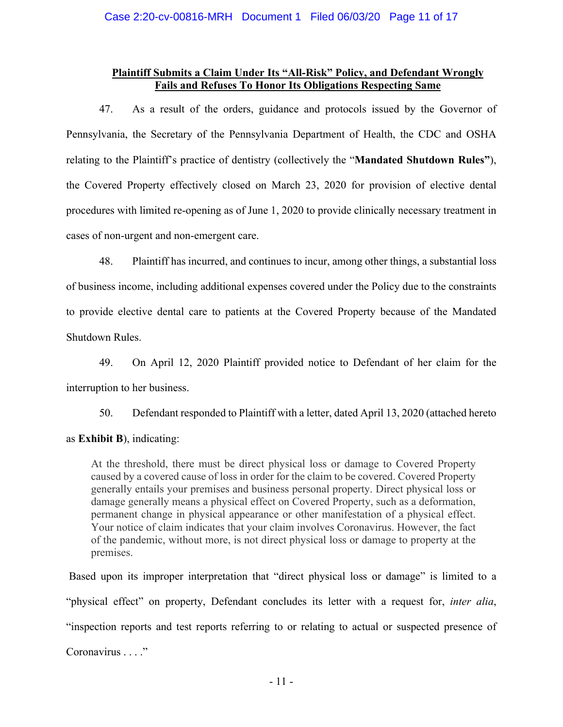## **Plaintiff Submits a Claim Under Its "All-Risk" Policy, and Defendant Wrongly Fails and Refuses To Honor Its Obligations Respecting Same**

47. As a result of the orders, guidance and protocols issued by the Governor of Pennsylvania, the Secretary of the Pennsylvania Department of Health, the CDC and OSHA relating to the Plaintiff's practice of dentistry (collectively the "**Mandated Shutdown Rules"**), the Covered Property effectively closed on March 23, 2020 for provision of elective dental procedures with limited re-opening as of June 1, 2020 to provide clinically necessary treatment in cases of non-urgent and non-emergent care.

48. Plaintiff has incurred, and continues to incur, among other things, a substantial loss of business income, including additional expenses covered under the Policy due to the constraints to provide elective dental care to patients at the Covered Property because of the Mandated Shutdown Rules.

49. On April 12, 2020 Plaintiff provided notice to Defendant of her claim for the interruption to her business.

50. Defendant responded to Plaintiff with a letter, dated April 13, 2020 (attached hereto as **Exhibit B**), indicating:

At the threshold, there must be direct physical loss or damage to Covered Property caused by a covered cause of loss in order for the claim to be covered. Covered Property generally entails your premises and business personal property. Direct physical loss or damage generally means a physical effect on Covered Property, such as a deformation, permanent change in physical appearance or other manifestation of a physical effect. Your notice of claim indicates that your claim involves Coronavirus. However, the fact of the pandemic, without more, is not direct physical loss or damage to property at the premises.

 Based upon its improper interpretation that "direct physical loss or damage" is limited to a "physical effect" on property, Defendant concludes its letter with a request for, *inter alia*, "inspection reports and test reports referring to or relating to actual or suspected presence of Coronavirus . . . ."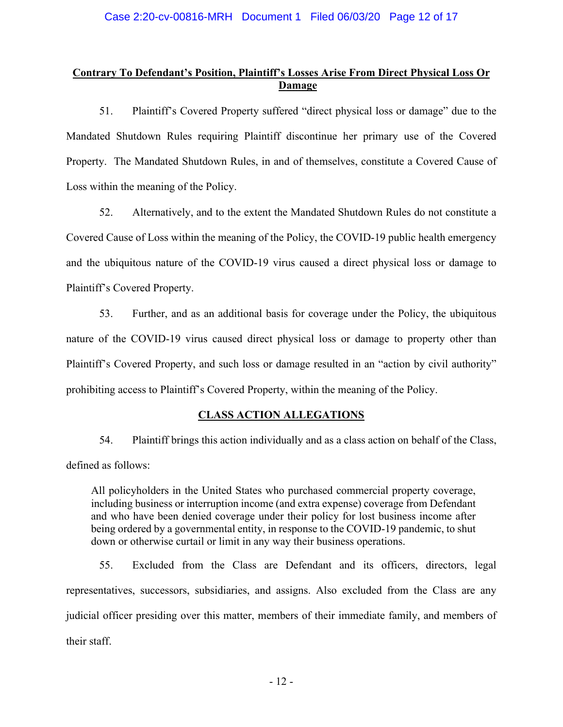# **Contrary To Defendant's Position, Plaintiff's Losses Arise From Direct Physical Loss Or Damage**

51. Plaintiff's Covered Property suffered "direct physical loss or damage" due to the Mandated Shutdown Rules requiring Plaintiff discontinue her primary use of the Covered Property. The Mandated Shutdown Rules, in and of themselves, constitute a Covered Cause of Loss within the meaning of the Policy.

52. Alternatively, and to the extent the Mandated Shutdown Rules do not constitute a Covered Cause of Loss within the meaning of the Policy, the COVID-19 public health emergency and the ubiquitous nature of the COVID-19 virus caused a direct physical loss or damage to Plaintiff's Covered Property.

53. Further, and as an additional basis for coverage under the Policy, the ubiquitous nature of the COVID-19 virus caused direct physical loss or damage to property other than Plaintiff's Covered Property, and such loss or damage resulted in an "action by civil authority" prohibiting access to Plaintiff's Covered Property, within the meaning of the Policy.

# **CLASS ACTION ALLEGATIONS**

54. Plaintiff brings this action individually and as a class action on behalf of the Class, defined as follows:

All policyholders in the United States who purchased commercial property coverage, including business or interruption income (and extra expense) coverage from Defendant and who have been denied coverage under their policy for lost business income after being ordered by a governmental entity, in response to the COVID-19 pandemic, to shut down or otherwise curtail or limit in any way their business operations.

55. Excluded from the Class are Defendant and its officers, directors, legal representatives, successors, subsidiaries, and assigns. Also excluded from the Class are any judicial officer presiding over this matter, members of their immediate family, and members of their staff.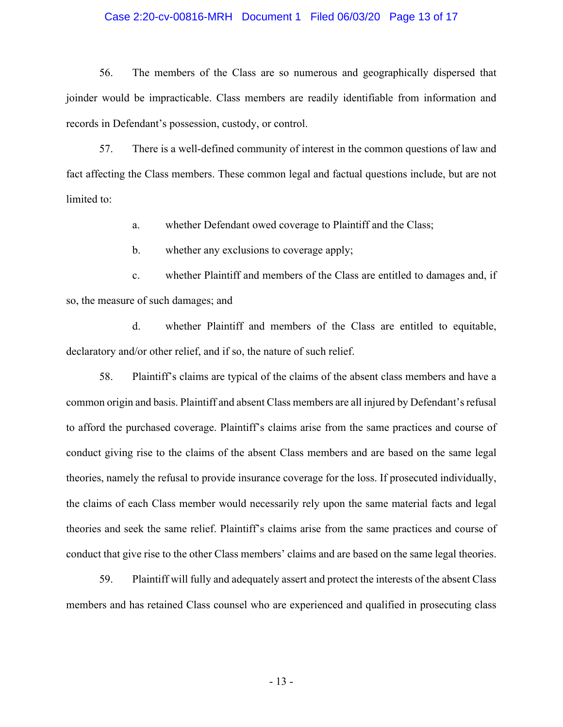### Case 2:20-cv-00816-MRH Document 1 Filed 06/03/20 Page 13 of 17

56. The members of the Class are so numerous and geographically dispersed that joinder would be impracticable. Class members are readily identifiable from information and records in Defendant's possession, custody, or control.

57. There is a well-defined community of interest in the common questions of law and fact affecting the Class members. These common legal and factual questions include, but are not limited to:

a. whether Defendant owed coverage to Plaintiff and the Class;

b. whether any exclusions to coverage apply;

c. whether Plaintiff and members of the Class are entitled to damages and, if so, the measure of such damages; and

d. whether Plaintiff and members of the Class are entitled to equitable, declaratory and/or other relief, and if so, the nature of such relief.

58. Plaintiff's claims are typical of the claims of the absent class members and have a common origin and basis. Plaintiff and absent Class members are all injured by Defendant's refusal to afford the purchased coverage. Plaintiff's claims arise from the same practices and course of conduct giving rise to the claims of the absent Class members and are based on the same legal theories, namely the refusal to provide insurance coverage for the loss. If prosecuted individually, the claims of each Class member would necessarily rely upon the same material facts and legal theories and seek the same relief. Plaintiff's claims arise from the same practices and course of conduct that give rise to the other Class members' claims and are based on the same legal theories.

59. Plaintiff will fully and adequately assert and protect the interests of the absent Class members and has retained Class counsel who are experienced and qualified in prosecuting class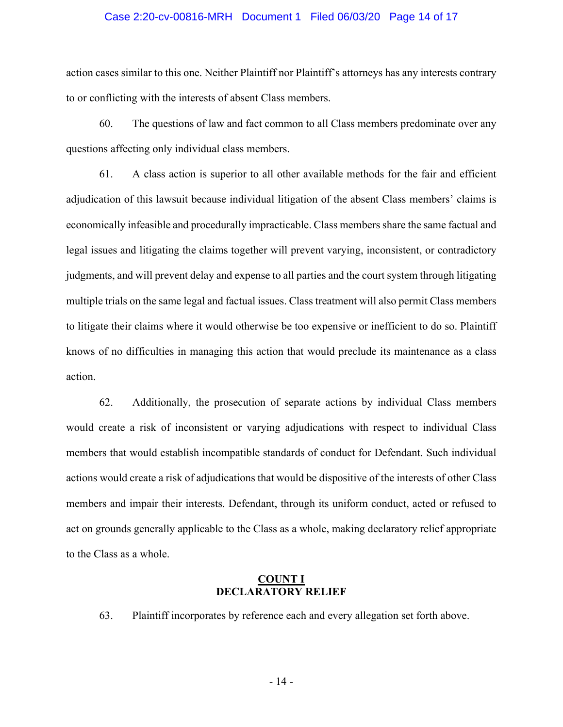#### Case 2:20-cv-00816-MRH Document 1 Filed 06/03/20 Page 14 of 17

action cases similar to this one. Neither Plaintiff nor Plaintiff's attorneys has any interests contrary to or conflicting with the interests of absent Class members.

60. The questions of law and fact common to all Class members predominate over any questions affecting only individual class members.

61. A class action is superior to all other available methods for the fair and efficient adjudication of this lawsuit because individual litigation of the absent Class members' claims is economically infeasible and procedurally impracticable. Class members share the same factual and legal issues and litigating the claims together will prevent varying, inconsistent, or contradictory judgments, and will prevent delay and expense to all parties and the court system through litigating multiple trials on the same legal and factual issues. Class treatment will also permit Class members to litigate their claims where it would otherwise be too expensive or inefficient to do so. Plaintiff knows of no difficulties in managing this action that would preclude its maintenance as a class action.

62. Additionally, the prosecution of separate actions by individual Class members would create a risk of inconsistent or varying adjudications with respect to individual Class members that would establish incompatible standards of conduct for Defendant. Such individual actions would create a risk of adjudications that would be dispositive of the interests of other Class members and impair their interests. Defendant, through its uniform conduct, acted or refused to act on grounds generally applicable to the Class as a whole, making declaratory relief appropriate to the Class as a whole.

### **COUNT I DECLARATORY RELIEF**

63. Plaintiff incorporates by reference each and every allegation set forth above.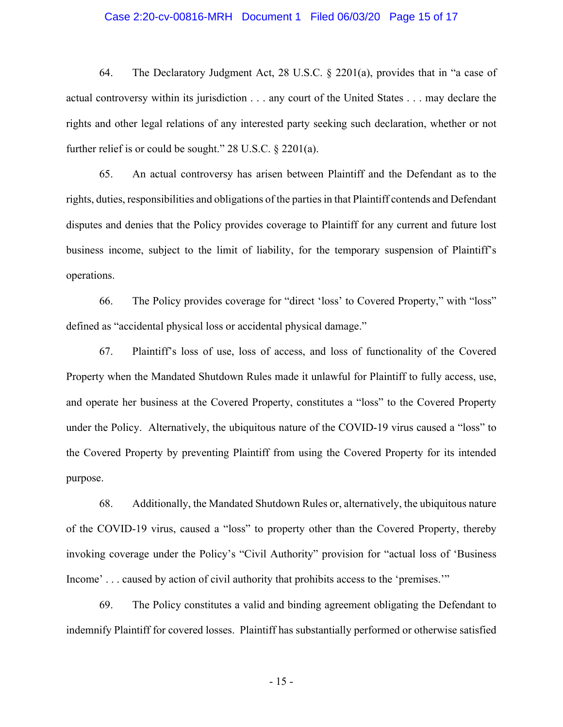#### Case 2:20-cv-00816-MRH Document 1 Filed 06/03/20 Page 15 of 17

64. The Declaratory Judgment Act, 28 U.S.C. § 2201(a), provides that in "a case of actual controversy within its jurisdiction . . . any court of the United States . . . may declare the rights and other legal relations of any interested party seeking such declaration, whether or not further relief is or could be sought." 28 U.S.C. § 2201(a).

65. An actual controversy has arisen between Plaintiff and the Defendant as to the rights, duties, responsibilities and obligations of the parties in that Plaintiff contends and Defendant disputes and denies that the Policy provides coverage to Plaintiff for any current and future lost business income, subject to the limit of liability, for the temporary suspension of Plaintiff's operations.

66. The Policy provides coverage for "direct 'loss' to Covered Property," with "loss" defined as "accidental physical loss or accidental physical damage."

67. Plaintiff's loss of use, loss of access, and loss of functionality of the Covered Property when the Mandated Shutdown Rules made it unlawful for Plaintiff to fully access, use, and operate her business at the Covered Property, constitutes a "loss" to the Covered Property under the Policy. Alternatively, the ubiquitous nature of the COVID-19 virus caused a "loss" to the Covered Property by preventing Plaintiff from using the Covered Property for its intended purpose.

68. Additionally, the Mandated Shutdown Rules or, alternatively, the ubiquitous nature of the COVID-19 virus, caused a "loss" to property other than the Covered Property, thereby invoking coverage under the Policy's "Civil Authority" provision for "actual loss of 'Business Income' . . . caused by action of civil authority that prohibits access to the 'premises.'"

69. The Policy constitutes a valid and binding agreement obligating the Defendant to indemnify Plaintiff for covered losses. Plaintiff has substantially performed or otherwise satisfied

- 15 -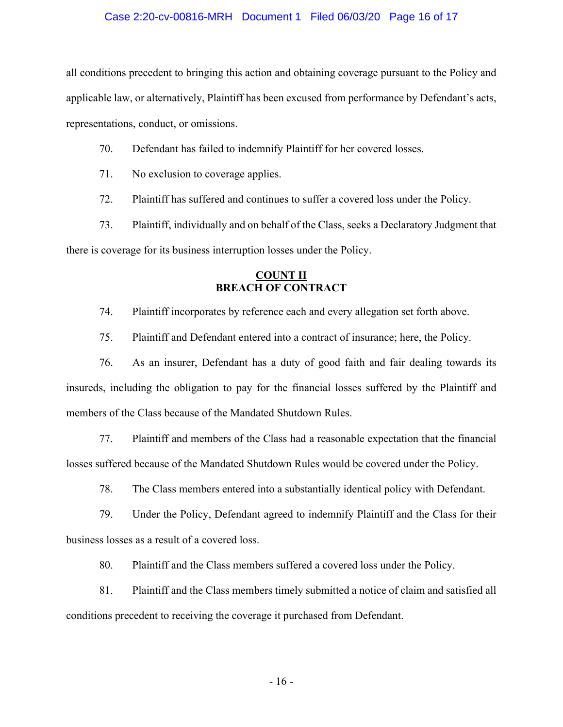### Case 2:20-cv-00816-MRH Document 1 Filed 06/03/20 Page 16 of 17

all conditions precedent to bringing this action and obtaining coverage pursuant to the Policy and applicable law, or alternatively, Plaintiff has been excused from performance by Defendant's acts, representations, conduct, or omissions.

- 70. Defendant has failed to indemnify Plaintiff for her covered losses.
- 71. No exclusion to coverage applies.
- 72. Plaintiff has suffered and continues to suffer a covered loss under the Policy.

73. Plaintiff, individually and on behalf of the Class, seeks a Declaratory Judgment that there is coverage for its business interruption losses under the Policy.

## **COUNT II BREACH OF CONTRACT**

74. Plaintiff incorporates by reference each and every allegation set forth above.

75. Plaintiff and Defendant entered into a contract of insurance; here, the Policy.

76. As an insurer, Defendant has a duty of good faith and fair dealing towards its insureds, including the obligation to pay for the financial losses suffered by the Plaintiff and members of the Class because of the Mandated Shutdown Rules.

77. Plaintiff and members of the Class had a reasonable expectation that the financial losses suffered because of the Mandated Shutdown Rules would be covered under the Policy.

78. The Class members entered into a substantially identical policy with Defendant.

79. Under the Policy, Defendant agreed to indemnify Plaintiff and the Class for their business losses as a result of a covered loss.

80. Plaintiff and the Class members suffered a covered loss under the Policy.

81. Plaintiff and the Class members timely submitted a notice of claim and satisfied all conditions precedent to receiving the coverage it purchased from Defendant.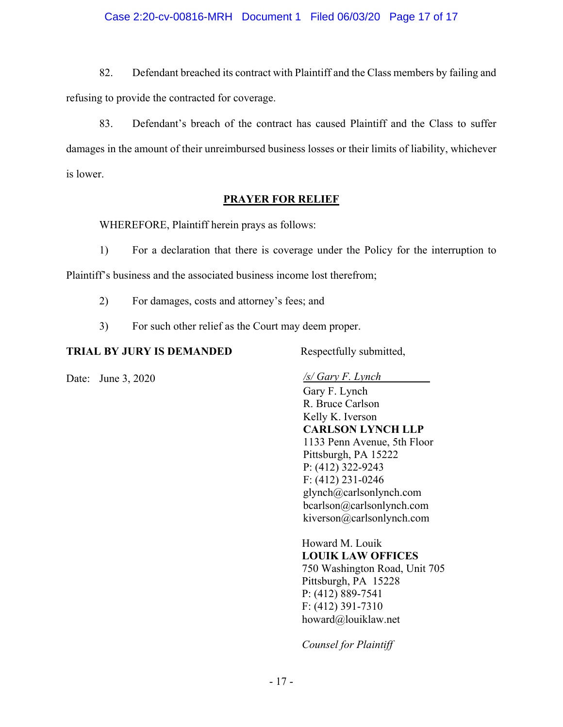## Case 2:20-cv-00816-MRH Document 1 Filed 06/03/20 Page 17 of 17

82. Defendant breached its contract with Plaintiff and the Class members by failing and refusing to provide the contracted for coverage.

83. Defendant's breach of the contract has caused Plaintiff and the Class to suffer damages in the amount of their unreimbursed business losses or their limits of liability, whichever is lower.

## **PRAYER FOR RELIEF**

WHEREFORE, Plaintiff herein prays as follows:

1) For a declaration that there is coverage under the Policy for the interruption to

Plaintiff's business and the associated business income lost therefrom;

- 2) For damages, costs and attorney's fees; and
- 3) For such other relief as the Court may deem proper.

## **TRIAL BY JURY IS DEMANDED** Respectfully submitted,

Date: June 3, 2020 */s/ Gary F. Lynch* 

Gary F. Lynch R. Bruce Carlson Kelly K. Iverson **CARLSON LYNCH LLP**  1133 Penn Avenue, 5th Floor Pittsburgh, PA 15222 P: (412) 322-9243 F: (412) 231-0246 glynch@carlsonlynch.com bcarlson@carlsonlynch.com kiverson@carlsonlynch.com

Howard M. Louik **LOUIK LAW OFFICES**  750 Washington Road, Unit 705 Pittsburgh, PA 15228 P: (412) 889-7541 F: (412) 391-7310 howard@louiklaw.net

*Counsel for Plaintiff*